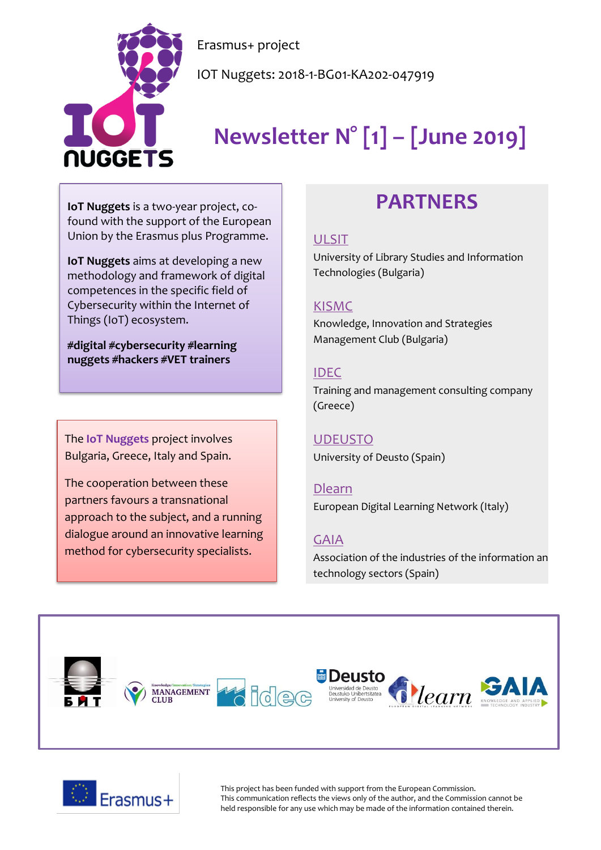

Erasmus+ project

IOT Nuggets: 2018-1-BG01-KA202-047919

# **Newsletter N° [1] – [June 2019]**

**IoT Nuggets** is a two-year project, cofound with the support of the European Union by the Erasmus plus Programme.

**IoT Nuggets** aims at developing a new methodology and framework of digital competences in the specific field of Cybersecurity within the Internet of Things (IoT) ecosystem.

**#digital #cybersecurity #learning nuggets #hackers #VET trainers**

The **IoT Nuggets** project involves Bulgaria, Greece, Italy and Spain.

The cooperation between these partners favours a transnational approach to the subject, and a running dialogue around an innovative learning method for cybersecurity specialists.

## **PARTNERS**

#### [ULSIT](https://www.unibit.bg/en)

University of Library Studies and Information Technologies (Bulgaria)

#### [KISMC](http://www.innovation-mc.com/)

Knowledge, Innovation and Strategies Management Club (Bulgaria)

#### [IDEC](https://www.idec.gr/)

Training and management consulting company (Greece)

#### [UDEUSTO](https://www.deusto.es/cs/Satellite/deusto/en/university-deusto)

University of Deusto (Spain)

#### [Dlearn](http://dlearn.eu/)

European Digital Learning Network (Italy)

#### [GAIA](http://www.gaia.es/)

Association of the industries of the information an technology sectors (Spain)





This project has been funded with support from the European Commission. This communication reflects the views only of the author, and the Commission cannot be held responsible for any use which may be made of the information contained therein.